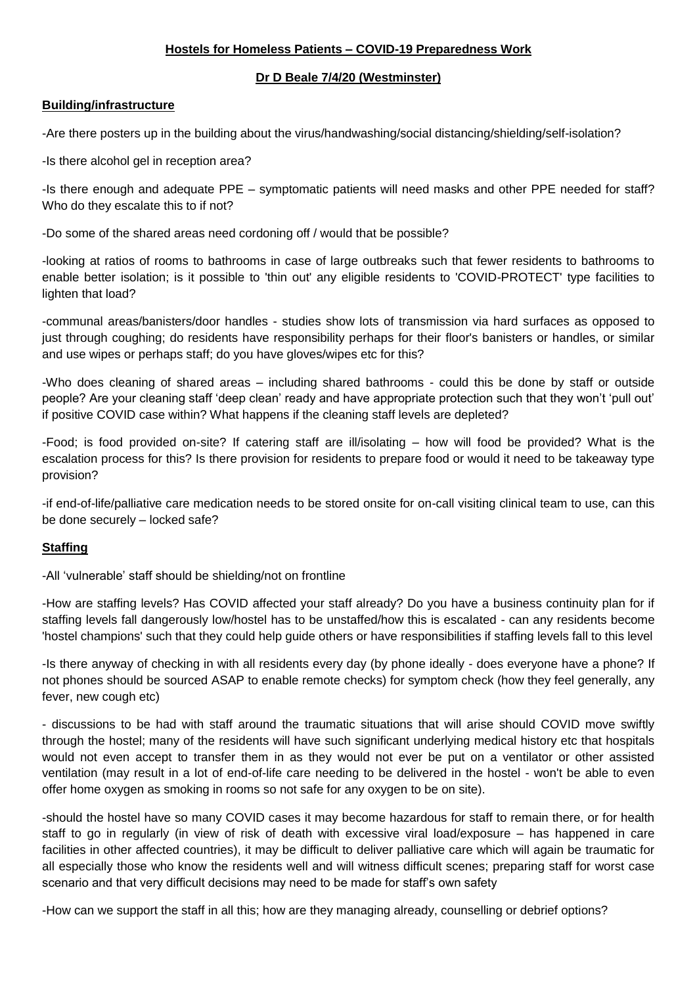## **Hostels for Homeless Patients – COVID-19 Preparedness Work**

### **Dr D Beale 7/4/20 (Westminster)**

### **Building/infrastructure**

-Are there posters up in the building about the virus/handwashing/social distancing/shielding/self-isolation?

-Is there alcohol gel in reception area?

-Is there enough and adequate PPE – symptomatic patients will need masks and other PPE needed for staff? Who do they escalate this to if not?

-Do some of the shared areas need cordoning off / would that be possible?

-looking at ratios of rooms to bathrooms in case of large outbreaks such that fewer residents to bathrooms to enable better isolation; is it possible to 'thin out' any eligible residents to 'COVID-PROTECT' type facilities to lighten that load?

-communal areas/banisters/door handles - studies show lots of transmission via hard surfaces as opposed to just through coughing; do residents have responsibility perhaps for their floor's banisters or handles, or similar and use wipes or perhaps staff; do you have gloves/wipes etc for this?

-Who does cleaning of shared areas – including shared bathrooms - could this be done by staff or outside people? Are your cleaning staff 'deep clean' ready and have appropriate protection such that they won't 'pull out' if positive COVID case within? What happens if the cleaning staff levels are depleted?

-Food; is food provided on-site? If catering staff are ill/isolating – how will food be provided? What is the escalation process for this? Is there provision for residents to prepare food or would it need to be takeaway type provision?

-if end-of-life/palliative care medication needs to be stored onsite for on-call visiting clinical team to use, can this be done securely – locked safe?

# **Staffing**

-All 'vulnerable' staff should be shielding/not on frontline

-How are staffing levels? Has COVID affected your staff already? Do you have a business continuity plan for if staffing levels fall dangerously low/hostel has to be unstaffed/how this is escalated - can any residents become 'hostel champions' such that they could help guide others or have responsibilities if staffing levels fall to this level

-Is there anyway of checking in with all residents every day (by phone ideally - does everyone have a phone? If not phones should be sourced ASAP to enable remote checks) for symptom check (how they feel generally, any fever, new cough etc)

- discussions to be had with staff around the traumatic situations that will arise should COVID move swiftly through the hostel; many of the residents will have such significant underlying medical history etc that hospitals would not even accept to transfer them in as they would not ever be put on a ventilator or other assisted ventilation (may result in a lot of end-of-life care needing to be delivered in the hostel - won't be able to even offer home oxygen as smoking in rooms so not safe for any oxygen to be on site).

-should the hostel have so many COVID cases it may become hazardous for staff to remain there, or for health staff to go in regularly (in view of risk of death with excessive viral load/exposure – has happened in care facilities in other affected countries), it may be difficult to deliver palliative care which will again be traumatic for all especially those who know the residents well and will witness difficult scenes; preparing staff for worst case scenario and that very difficult decisions may need to be made for staff's own safety

-How can we support the staff in all this; how are they managing already, counselling or debrief options?